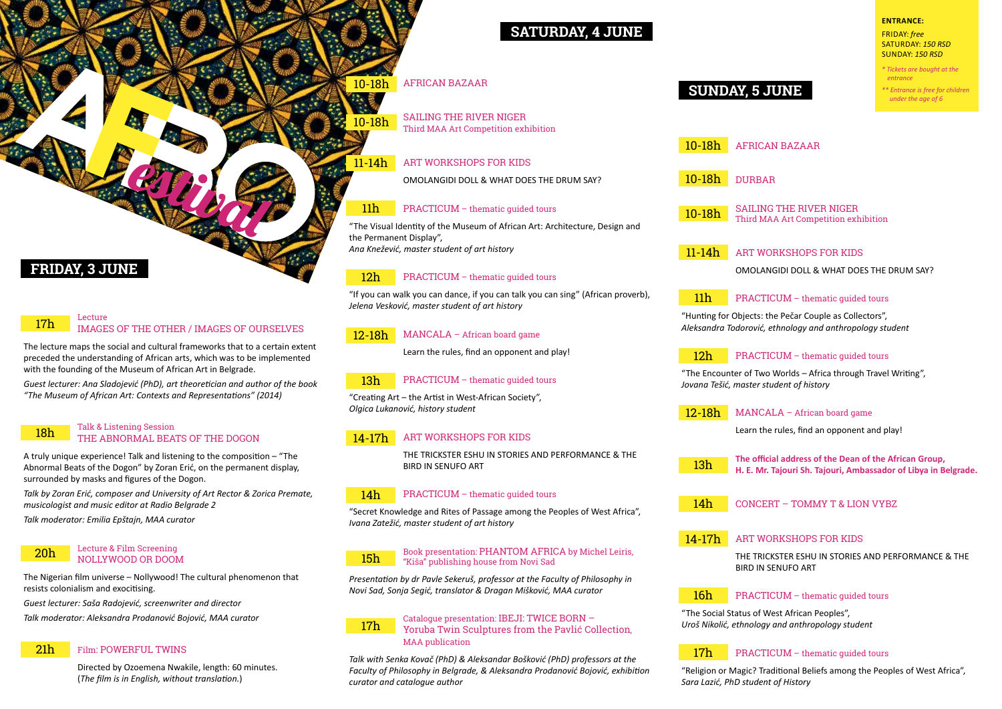# **Friday, 3 June**

#### 17h Lecture IMAGES OF THE OTHER / IMAGES OF OURSELVES

The lecture maps the social and cultural frameworks that to a certain extent preceded the understanding of African arts, which was to be implemented with the founding of the Museum of African Art in Belgrade.

*Guest lecturer: Аnа Slаdојеvić (PhD), art theoretician and author of the book "The Museum of African Art: Contexts and Representations" (2014)*

#### Talk & Listening Session THE ABNORMAL BEATS OF THE DOGON 18h

A truly unique experience! Talk and listening to the composition – "The Abnormal Beats of the Dogon" by Zoran Erić, on the permanent display, surrounded by masks and figures of the Dogon.

*Talk by Zоrаn Еrić, composer and University of Art Rector & Zorica Premate, musicologist and music editor at Radio Belgrade 2*

*Talk moderator: Emilia Epštajn, MAA curator*

#### Lecture & Film Screening NOLLYWOOD OR DOOM 20h

The Nigerian film universe – Nollywood! The cultural phenomenon that resists colonialism and exocitising.

*Guest lecturer: Saša Radojević, screenwriter and director* 

*Talk moderator: Aleksandra Prodanović Bojović, MAA curator*

#### 21h Film: POWERFUL TWINS

Directed by Ozoemena Nwakile, length: 60 minutes. (*The film is in English, without translation.*)

# **Saturday, 4 June**

# 10-18h AFRICAN BAZAAR

11-14h

10-18h

SAILING THE RIVER NIGER Third MAA Art Competition exhibition

# ART WORKSHOPS FOR KIDS

ОМОLАNGIDI DOLL & WHAT DOES THE DRUM SAY?

#### 11h PRACTICUM – thematic guided tours

"The Visual Identity of the Museum of African Art: Architecture, Design and the Permanent Display", *Ana Knežević, master student of art history*

#### 12h PRACTICUM – thematic guided tours

"If you can walk you can dance, if you can talk you can sing" (African proverb), *Jelena Vesković, master student of art history*

#### 12-18h MANCALA – African board game

Learn the rules, find an opponent and play!

#### 13h PRACTICUM – thematic guided tours

"Creating Art – the Artist in West-African Society", *Olgica Lukanović, history student*

#### 14-17h ART WORKSHOPS FOR KIDS

THE TRICKSTER ESHU IN STORIES AND PERFORMANCE & THE BIRD IN SENUFO ART

#### 14h PRACTICUM – thematic guided tours

"Secret Knowledge and Rites of Passage among the Peoples of West Africa", *Ivana Zatežić, master student of art history*

#### 15h Book presentation: PHANTOM AFRICA by Michel Leiris, "Kiša" publishing house from Novi Sad

*Presentation by dr Pavle Sekeruš, professor at the Faculty of Philosophy in Novi Sad, Sonja Segić, translator & Dragan Mišković, MAA curator*

#### 17h Catalogue presentation: IBEJI: TWICE BORN – Yoruba Twin Sculptures from the Pаvlić Collection, MAA publication

*Talk with Senka Kovač (PhD) & Aleksandar Bošković (PhD) professors at the Faculty of Philosophy in Belgrade, & Aleksandra Prodanović Bojović, exhibition curator and catalogue author*

# **Sunday, 5 June**

Friday: *free* Saturday: *150 RSD* Sunday: *150 RSD*

**Entrance:**

*\* Tickets are bought at the entrance* 

*\*\* Entrance is free for children under the age of 6*

AFRICAN BAZAAR 10-18h

#### 10-18h DURBAR

10-18h SAILING THE RIVER NIGER Third MAA Art Competition exhibition

11-14h ART WORKSHOPS FOR KIDS

ОМОLАNGIDI DOLL & WHAT DOES THE DRUM SAY?

#### 11h PRACTICUM – thematic guided tours

"Hunting for Objects: the Pečar Couple as Collectors", *Aleksandra Todorović, ethnology and anthropology student*

#### 12h PRACTICUM – thematic guided tours

"The Encounter of Two Worlds – Africa through Travel Writing", *Jovana Tešić, master student of history*

12-18h MANCALA – African board game

Learn the rules, find an opponent and play!

13h **The official address of the Dean of the African Group, H. E. Mr. Tajouri Sh. Tajouri, Ambassador of Libya in Belgrade.**

14h CONCERT – TOMMY T & LION VYBZ

#### 14-17h ART WORKSHOPS FOR KIDS

THE TRICKSTER ESHU IN STORIES AND PERFORMANCE & THE BIRD IN SENUFO ART

#### 16h PRACTICUM – thematic guided tours

"The Social Status of West African Peoples", *Uroš Nikolić, ethnology and anthropology student*

#### 17h PRACTICUM – thematic guided tours

"Religion or Magic? Traditional Beliefs among the Peoples of West Africa", *Sara Lazić, PhD student of History*